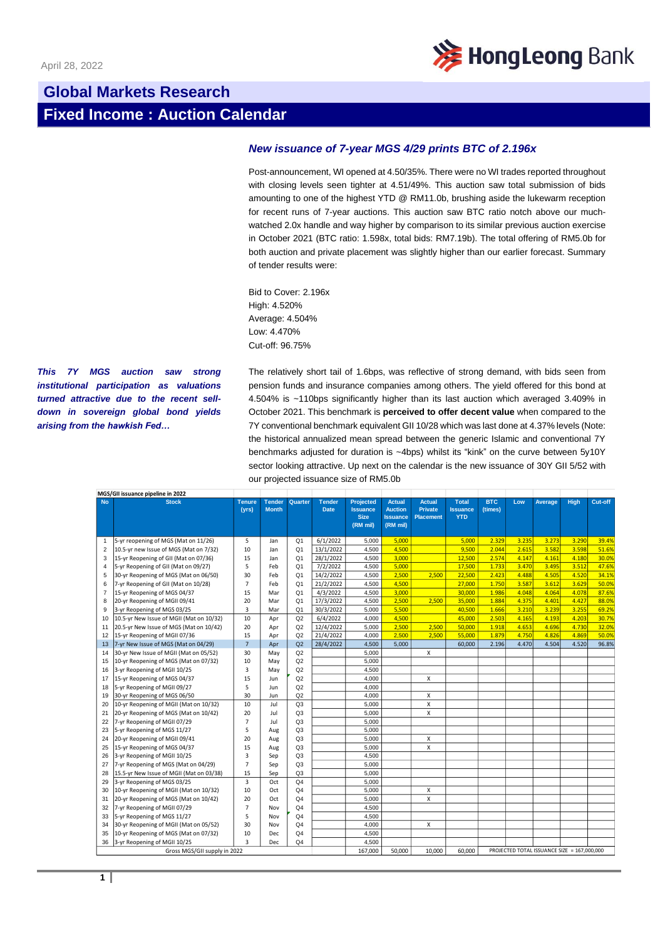

## **Global Markets Research Fixed Income : Auction Calendar**

## *New issuance of 7-year MGS 4/29 prints BTC of 2.196x*

Post-announcement, WI opened at 4.50/35%. There were no WI trades reported throughout with closing levels seen tighter at 4.51/49%. This auction saw total submission of bids amounting to one of the highest YTD @ RM11.0b, brushing aside the lukewarm reception for recent runs of 7-year auctions. This auction saw BTC ratio notch above our muchwatched 2.0x handle and way higher by comparison to its similar previous auction exercise in October 2021 (BTC ratio: 1.598x, total bids: RM7.19b). The total offering of RM5.0b for both auction and private placement was slightly higher than our earlier forecast. Summary of tender results were:

Bid to Cover: 2.196x High: 4.520% Average: 4.504% Low: 4.470% Cut-off: 96.75%

*This 7Y MGS auction saw strong institutional participation as valuations turned attractive due to the recent selldown in sovereign global bond yields arising from the hawkish Fed…*

The relatively short tail of 1.6bps, was reflective of strong demand, with bids seen from pension funds and insurance companies among others. The yield offered for this bond at 4.504% is ~110bps significantly higher than its last auction which averaged 3.409% in October 2021. This benchmark is **perceived to offer decent value** when compared to the 7Y conventional benchmark equivalent GII 10/28 which was last done at 4.37% levels (Note: the historical annualized mean spread between the generic Islamic and conventional 7Y benchmarks adjusted for duration is ~4bps) whilst its "kink" on the curve between 5y10Y sector looking attractive. Up next on the calendar is the new issuance of 30Y GII 5/52 with our projected issuance size of RM5.0b

| MGS/GII issuance pipeline in 2022 |                                          |                        |                               |                |                              |                                                                |                                                                |                                                     |                                               |                       |       |                                             |       |         |
|-----------------------------------|------------------------------------------|------------------------|-------------------------------|----------------|------------------------------|----------------------------------------------------------------|----------------------------------------------------------------|-----------------------------------------------------|-----------------------------------------------|-----------------------|-------|---------------------------------------------|-------|---------|
| <b>No</b>                         | <b>Stock</b>                             | <b>Tenure</b><br>(yrs) | <b>Tender</b><br><b>Month</b> | Quarter        | <b>Tender</b><br><b>Date</b> | <b>Projected</b><br><b>Issuance</b><br><b>Size</b><br>(RM mil) | <b>Actual</b><br><b>Auction</b><br><b>Issuance</b><br>(RM mil) | <b>Actual</b><br><b>Private</b><br><b>Placement</b> | <b>Total</b><br><b>Issuance</b><br><b>YTD</b> | <b>BTC</b><br>(times) | Low   | Average                                     | High  | Cut-off |
| $\mathbf{1}$                      | 5-yr reopening of MGS (Mat on 11/26)     | 5                      | Jan                           | Q <sub>1</sub> | 6/1/2022                     | 5,000                                                          | 5,000                                                          |                                                     | 5,000                                         | 2.329                 | 3.235 | 3.273                                       | 3.290 | 39.4%   |
| 2                                 | 10.5-yr new Issue of MGS (Mat on 7/32)   | 10                     | Jan                           | Q <sub>1</sub> | 13/1/2022                    | 4.500                                                          | 4.500                                                          |                                                     | 9.500                                         | 2.044                 | 2.615 | 3.582                                       | 3.598 | 51.6%   |
| 3                                 | 15-yr Reopening of GII (Mat on 07/36)    | 15                     | Jan                           | Q <sub>1</sub> | 28/1/2022                    | 4,500                                                          | 3,000                                                          |                                                     | 12,500                                        | 2.574                 | 4.147 | 4.161                                       | 4.180 | 30.0%   |
| 4                                 | 5-yr Reopening of GII (Mat on 09/27)     | 5                      | Feb                           | Q <sub>1</sub> | 7/2/2022                     | 4.500                                                          | 5.000                                                          |                                                     | 17,500                                        | 1.733                 | 3.470 | 3.495                                       | 3.512 | 47.6%   |
| 5                                 | 30-yr Reopening of MGS (Mat on 06/50)    | 30                     | Feb                           | Q <sub>1</sub> | 14/2/2022                    | 4,500                                                          | 2,500                                                          | 2,500                                               | 22,500                                        | 2.423                 | 4.488 | 4.505                                       | 4.520 | 34.1%   |
| 6                                 | 7-yr Reopening of GII (Mat on 10/28)     | $\overline{7}$         | Feb                           | Q <sub>1</sub> | 21/2/2022                    | 4,500                                                          | 4.500                                                          |                                                     | 27,000                                        | 1.750                 | 3.587 | 3.612                                       | 3.629 | 50.0%   |
| $\overline{7}$                    | 15-yr Reopening of MGS 04/37             | 15                     | Mar                           | Q <sub>1</sub> | 4/3/2022                     | 4,500                                                          | 3,000                                                          |                                                     | 30,000                                        | 1.986                 | 4.048 | 4.064                                       | 4.078 | 87.6%   |
| 8                                 | 20-yr Reopening of MGII 09/41            | 20                     | Mar                           | Q <sub>1</sub> | 17/3/2022                    | 4,500                                                          | 2,500                                                          | 2,500                                               | 35,000                                        | 1.884                 | 4.375 | 4.401                                       | 4.427 | 88.0%   |
| 9                                 | 3-yr Reopening of MGS 03/25              | $\overline{3}$         | Mar                           | Q <sub>1</sub> | 30/3/2022                    | 5.000                                                          | 5.500                                                          |                                                     | 40.500                                        | 1.666                 | 3.210 | 3.239                                       | 3.255 | 69.2%   |
| 10                                | 10.5-yr New Issue of MGII (Mat on 10/32) | 10                     | Apr                           | Q2             | 6/4/2022                     | 4.000                                                          | 4.500                                                          |                                                     | 45,000                                        | 2.503                 | 4.165 | 4.193                                       | 4.203 | 30.7%   |
| 11                                | 20.5-yr New Issue of MGS (Mat on 10/42)  | 20                     | Apr                           | Q2             | 12/4/2022                    | 5.000                                                          | 2.500                                                          | 2.500                                               | 50,000                                        | 1.918                 | 4.653 | 4.696                                       | 4.730 | 32.0%   |
| 12                                | 15-yr Reopening of MGII 07/36            | 15                     | Apr                           | Q2             | 21/4/2022                    | 4,000                                                          | 2,500                                                          | 2,500                                               | 55,000                                        | 1.879                 | 4.750 | 4.826                                       | 4.869 | 50.0%   |
| 13                                | 7-yr New Issue of MGS (Mat on 04/29)     | $\overline{7}$         | Apr                           | Q2             | 28/4/2022                    | 4.500                                                          | 5.000                                                          |                                                     | 60,000                                        | 2.196                 | 4.470 | 4.504                                       | 4.520 | 96.8%   |
| 14                                | 30-yr New Issue of MGII (Mat on 05/52)   | 30                     | May                           | Q2             |                              | 5,000                                                          |                                                                | X                                                   |                                               |                       |       |                                             |       |         |
| 15                                | 10-yr Reopening of MGS (Mat on 07/32)    | 10                     | May                           | Q2             |                              | 5.000                                                          |                                                                |                                                     |                                               |                       |       |                                             |       |         |
| 16                                | 3-yr Reopening of MGII 10/25             | 3                      | May                           | Q2             |                              | 4,500                                                          |                                                                |                                                     |                                               |                       |       |                                             |       |         |
| 17                                | 15-yr Reopening of MGS 04/37             | 15                     | Jun                           | Q2             |                              | 4.000                                                          |                                                                | $\mathsf{x}$                                        |                                               |                       |       |                                             |       |         |
| 18                                | 5-yr Reopening of MGII 09/27             | 5                      | Jun                           | Q2             |                              | 4,000                                                          |                                                                |                                                     |                                               |                       |       |                                             |       |         |
| 19                                | 30-yr Reopening of MGS 06/50             | 30                     | Jun                           | Q <sub>2</sub> |                              | 4.000                                                          |                                                                | $\pmb{\times}$                                      |                                               |                       |       |                                             |       |         |
| 20                                | 10-yr Reopening of MGII (Mat on 10/32)   | 10                     | Jul                           | Q <sub>3</sub> |                              | 5,000                                                          |                                                                | $\pmb{\times}$                                      |                                               |                       |       |                                             |       |         |
| 21                                | 20-yr Reopening of MGS (Mat on 10/42)    | 20                     | Jul                           | Q <sub>3</sub> |                              | 5.000                                                          |                                                                | $\mathsf{x}$                                        |                                               |                       |       |                                             |       |         |
| 22                                | 7-yr Reopening of MGII 07/29             | $\overline{7}$         | Jul                           | Q <sub>3</sub> |                              | 5,000                                                          |                                                                |                                                     |                                               |                       |       |                                             |       |         |
| 23                                | 5-yr Reopening of MGS 11/27              | 5                      | Aug                           | Q <sub>3</sub> |                              | 5.000                                                          |                                                                |                                                     |                                               |                       |       |                                             |       |         |
| 24                                | 20-yr Reopening of MGII 09/41            | 20                     | Aug                           | Q <sub>3</sub> |                              | 5,000                                                          |                                                                | X                                                   |                                               |                       |       |                                             |       |         |
| 25                                | 15-yr Reopening of MGS 04/37             | 15                     | Aug                           | Q <sub>3</sub> |                              | 5.000                                                          |                                                                | $\mathsf{x}$                                        |                                               |                       |       |                                             |       |         |
| 26                                | 3-yr Reopening of MGII 10/25             | $\overline{3}$         | Sep                           | Q <sub>3</sub> |                              | 4.500                                                          |                                                                |                                                     |                                               |                       |       |                                             |       |         |
| 27                                | 7-yr Reopening of MGS (Mat on 04/29)     | $\overline{7}$         | Sep                           | Q <sub>3</sub> |                              | 5.000                                                          |                                                                |                                                     |                                               |                       |       |                                             |       |         |
| 28                                | 15.5-vr New Issue of MGII (Mat on 03/38) | 15                     | Sep                           | Q <sub>3</sub> |                              | 5.000                                                          |                                                                |                                                     |                                               |                       |       |                                             |       |         |
| 29                                | 3-yr Reopening of MGS 03/25              | $\overline{3}$         | Oct                           | Q <sub>4</sub> |                              | 5.000                                                          |                                                                |                                                     |                                               |                       |       |                                             |       |         |
| 30                                | 10-yr Reopening of MGII (Mat on 10/32)   | 10                     | Oct                           | Q <sub>4</sub> |                              | 5.000                                                          |                                                                | X                                                   |                                               |                       |       |                                             |       |         |
| 31                                | 20-yr Reopening of MGS (Mat on 10/42)    | 20                     | Oct                           | Q <sub>4</sub> |                              | 5,000                                                          |                                                                | $\pmb{\times}$                                      |                                               |                       |       |                                             |       |         |
| 32                                | 7-yr Reopening of MGII 07/29             | $\overline{7}$         | Nov                           | Q <sub>4</sub> |                              | 4.500                                                          |                                                                |                                                     |                                               |                       |       |                                             |       |         |
| 33                                | 5-yr Reopening of MGS 11/27              | 5                      | Nov                           | Q <sub>4</sub> |                              | 4,500                                                          |                                                                |                                                     |                                               |                       |       |                                             |       |         |
| 34                                | 30-yr Reopening of MGII (Mat on 05/52)   | 30                     | Nov                           | Q <sub>4</sub> |                              | 4,000                                                          |                                                                | X                                                   |                                               |                       |       |                                             |       |         |
| 35                                | 10-yr Reopening of MGS (Mat on 07/32)    | 10                     | Dec                           | Q <sub>4</sub> |                              | 4,500                                                          |                                                                |                                                     |                                               |                       |       |                                             |       |         |
| 36                                | 3-yr Reopening of MGII 10/25             | $\overline{3}$         | Dec                           | Q <sub>4</sub> |                              | 4.500                                                          |                                                                |                                                     |                                               |                       |       |                                             |       |         |
| Gross MGS/GII supply in 2022      |                                          |                        |                               |                |                              | 167.000                                                        | 50,000                                                         | 10.000                                              | 60.000                                        |                       |       | PROJECTED TOTAL ISSUANCE SIZE = 167,000,000 |       |         |